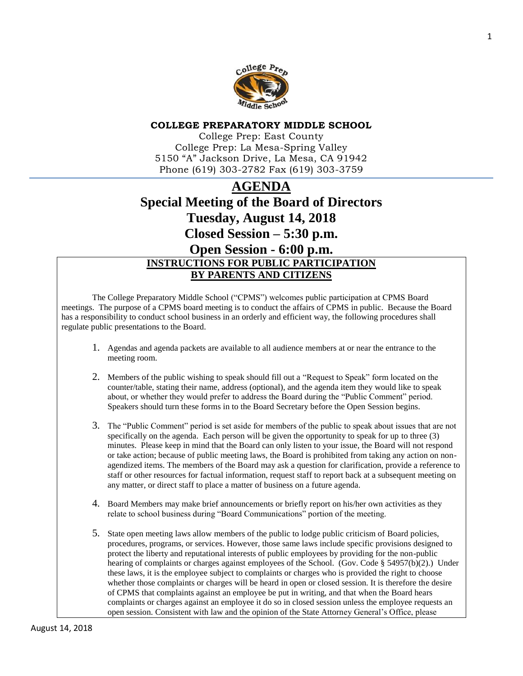

#### **COLLEGE PREPARATORY MIDDLE SCHOOL**

College Prep: East County College Prep: La Mesa-Spring Valley 5150 "A" Jackson Drive, La Mesa, CA 91942 Phone (619) 303-2782 Fax (619) 303-3759

# **AGENDA Special Meeting of the Board of Directors Tuesday, August 14, 2018 Closed Session – 5:30 p.m. Open Session - 6:00 p.m. INSTRUCTIONS FOR PUBLIC PARTICIPATION BY PARENTS AND CITIZENS**

The College Preparatory Middle School ("CPMS") welcomes public participation at CPMS Board meetings. The purpose of a CPMS board meeting is to conduct the affairs of CPMS in public. Because the Board has a responsibility to conduct school business in an orderly and efficient way, the following procedures shall regulate public presentations to the Board.

- 1. Agendas and agenda packets are available to all audience members at or near the entrance to the meeting room.
- 2. Members of the public wishing to speak should fill out a "Request to Speak" form located on the counter/table, stating their name, address (optional), and the agenda item they would like to speak about, or whether they would prefer to address the Board during the "Public Comment" period. Speakers should turn these forms in to the Board Secretary before the Open Session begins.
- 3. The "Public Comment" period is set aside for members of the public to speak about issues that are not specifically on the agenda. Each person will be given the opportunity to speak for up to three (3) minutes. Please keep in mind that the Board can only listen to your issue, the Board will not respond or take action; because of public meeting laws, the Board is prohibited from taking any action on nonagendized items. The members of the Board may ask a question for clarification, provide a reference to staff or other resources for factual information, request staff to report back at a subsequent meeting on any matter, or direct staff to place a matter of business on a future agenda.
- 4. Board Members may make brief announcements or briefly report on his/her own activities as they relate to school business during "Board Communications" portion of the meeting.
- 5. State open meeting laws allow members of the public to lodge public criticism of Board policies, procedures, programs, or services. However, those same laws include specific provisions designed to protect the liberty and reputational interests of public employees by providing for the non-public hearing of complaints or charges against employees of the School. (Gov. Code § 54957(b)(2).) Under these laws, it is the employee subject to complaints or charges who is provided the right to choose whether those complaints or charges will be heard in open or closed session. It is therefore the desire of CPMS that complaints against an employee be put in writing, and that when the Board hears complaints or charges against an employee it do so in closed session unless the employee requests an open session. Consistent with law and the opinion of the State Attorney General's Office, please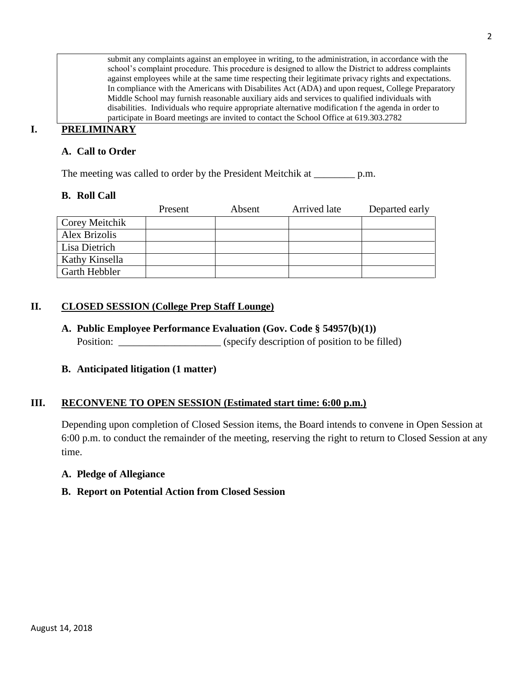submit any complaints against an employee in writing, to the administration, in accordance with the school's complaint procedure. This procedure is designed to allow the District to address complaints against employees while at the same time respecting their legitimate privacy rights and expectations. In compliance with the Americans with Disabilites Act (ADA) and upon request, College Preparatory Middle School may furnish reasonable auxiliary aids and services to qualified individuals with disabilities. Individuals who require appropriate alternative modification f the agenda in order to participate in Board meetings are invited to contact the School Office at 619.303.2782

## **I. PRELIMINARY**

## **A. Call to Order**

The meeting was called to order by the President Meitchik at \_\_\_\_\_\_\_\_\_\_ p.m.

#### **B. Roll Call**

|                      | Present | Absent | Arrived late | Departed early |
|----------------------|---------|--------|--------------|----------------|
| Corey Meitchik       |         |        |              |                |
| Alex Brizolis        |         |        |              |                |
| Lisa Dietrich        |         |        |              |                |
| Kathy Kinsella       |         |        |              |                |
| <b>Garth Hebbler</b> |         |        |              |                |

## **II. CLOSED SESSION (College Prep Staff Lounge)**

**A. Public Employee Performance Evaluation (Gov. Code § 54957(b)(1))** Position: \_\_\_\_\_\_\_\_\_\_\_\_\_\_\_\_\_\_\_\_\_\_\_\_ (specify description of position to be filled)

#### **B. Anticipated litigation (1 matter)**

#### **III. RECONVENE TO OPEN SESSION (Estimated start time: 6:00 p.m.)**

Depending upon completion of Closed Session items, the Board intends to convene in Open Session at 6:00 p.m. to conduct the remainder of the meeting, reserving the right to return to Closed Session at any time.

#### **A. Pledge of Allegiance**

#### **B. Report on Potential Action from Closed Session**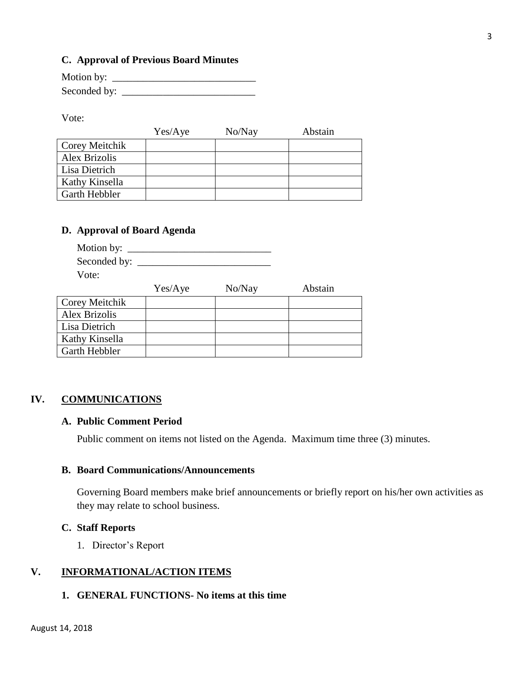#### **C. Approval of Previous Board Minutes**

| Motion by:   |  |
|--------------|--|
| Seconded by: |  |

Vote:

|                | Yes/Aye | No/Nay | Abstain |
|----------------|---------|--------|---------|
| Corey Meitchik |         |        |         |
| Alex Brizolis  |         |        |         |
| Lisa Dietrich  |         |        |         |
| Kathy Kinsella |         |        |         |
| Garth Hebbler  |         |        |         |

## **D. Approval of Board Agenda**

| Motion by: $\_\_$                     |  |
|---------------------------------------|--|
| Seconded by: $\overline{\phantom{a}}$ |  |
| Vote:                                 |  |

|                | Yes/Aye | No/Nay | Abstain |
|----------------|---------|--------|---------|
| Corey Meitchik |         |        |         |
| Alex Brizolis  |         |        |         |
| Lisa Dietrich  |         |        |         |
| Kathy Kinsella |         |        |         |
| Garth Hebbler  |         |        |         |

#### **IV. COMMUNICATIONS**

#### **A. Public Comment Period**

Public comment on items not listed on the Agenda. Maximum time three (3) minutes.

## **B. Board Communications/Announcements**

Governing Board members make brief announcements or briefly report on his/her own activities as they may relate to school business.

### **C. Staff Reports**

1. Director's Report

## **V. INFORMATIONAL/ACTION ITEMS**

## **1. GENERAL FUNCTIONS- No items at this time**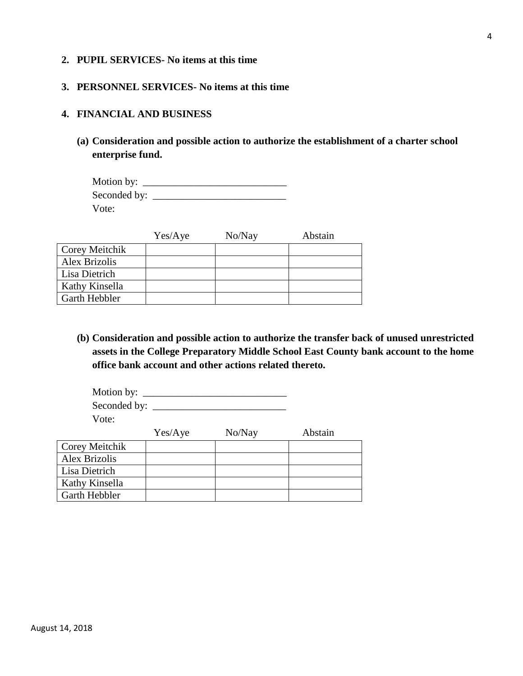#### **2. PUPIL SERVICES- No items at this time**

#### **3. PERSONNEL SERVICES- No items at this time**

#### **4. FINANCIAL AND BUSINESS**

**(a) Consideration and possible action to authorize the establishment of a charter school enterprise fund.**

| Motion by: $\overline{\phantom{a}}$ |  |
|-------------------------------------|--|
| Seconded by:                        |  |
| Vote:                               |  |

|                       | Yes/Aye | No/Nay | Abstain |
|-----------------------|---------|--------|---------|
| <b>Corey Meitchik</b> |         |        |         |
| Alex Brizolis         |         |        |         |
| Lisa Dietrich         |         |        |         |
| Kathy Kinsella        |         |        |         |
| Garth Hebbler         |         |        |         |

**(b) Consideration and possible action to authorize the transfer back of unused unrestricted assets in the College Preparatory Middle School East County bank account to the home office bank account and other actions related thereto.** 

| Motion by:     |         |        |         |
|----------------|---------|--------|---------|
|                |         |        |         |
| Vote:          |         |        |         |
|                | Yes/Aye | No/Nay | Abstain |
| Corey Meitchik |         |        |         |
| Alex Brizolis  |         |        |         |
| Lisa Dietrich  |         |        |         |
| Kathy Kinsella |         |        |         |

Garth Hebbler